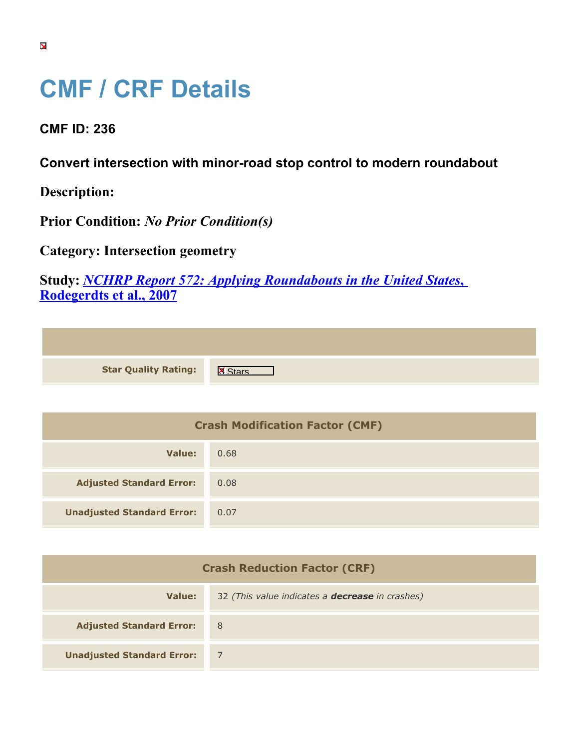## **CMF / CRF Details**

**CMF ID: 236**

**Convert intersection with minor-road stop control to modern roundabout**

**Description:** 

**Prior Condition:** *No Prior Condition(s)*

**Category: Intersection geometry**

**Study:** *[NCHRP Report 572: Applying Roundabouts in the United States](https://cmfclearinghouse.org/study_detail.cfm?stid=53)***[,](https://cmfclearinghouse.org/study_detail.cfm?stid=53) [Rodegerdts et al., 2007](https://cmfclearinghouse.org/study_detail.cfm?stid=53)**

| <b>Star Quality Rating:</b> | - IX |
|-----------------------------|------|

| <b>Crash Modification Factor (CMF)</b> |      |
|----------------------------------------|------|
| Value:                                 | 0.68 |
| <b>Adjusted Standard Error:</b>        | 0.08 |
| <b>Unadjusted Standard Error:</b>      | 0.07 |

| <b>Crash Reduction Factor (CRF)</b> |                                                        |
|-------------------------------------|--------------------------------------------------------|
| Value:                              | 32 (This value indicates a <b>decrease</b> in crashes) |
| <b>Adjusted Standard Error:</b>     | 8                                                      |
| <b>Unadjusted Standard Error:</b>   |                                                        |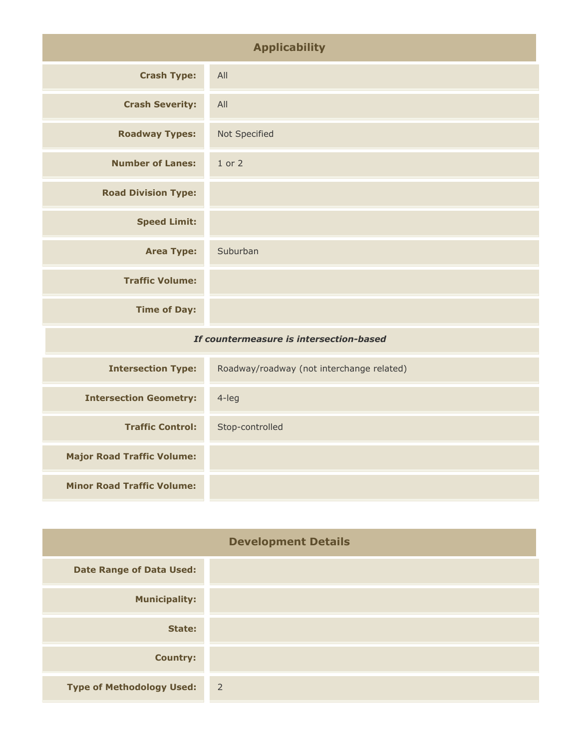| <b>Applicability</b>                    |                                           |
|-----------------------------------------|-------------------------------------------|
| <b>Crash Type:</b>                      | All                                       |
| <b>Crash Severity:</b>                  | All                                       |
| <b>Roadway Types:</b>                   | Not Specified                             |
| <b>Number of Lanes:</b>                 | $1$ or $2$                                |
| <b>Road Division Type:</b>              |                                           |
| <b>Speed Limit:</b>                     |                                           |
| <b>Area Type:</b>                       | Suburban                                  |
| <b>Traffic Volume:</b>                  |                                           |
| <b>Time of Day:</b>                     |                                           |
| If countermeasure is intersection-based |                                           |
| <b>Intersection Type:</b>               | Roadway/roadway (not interchange related) |
|                                         | $A$ $A$                                   |

| <b>Intersection Geometry:</b>     | $4$ -leg        |
|-----------------------------------|-----------------|
| <b>Traffic Control:</b>           | Stop-controlled |
| <b>Major Road Traffic Volume:</b> |                 |
| <b>Minor Road Traffic Volume:</b> |                 |
|                                   |                 |

| <b>Development Details</b>       |                |
|----------------------------------|----------------|
| <b>Date Range of Data Used:</b>  |                |
| <b>Municipality:</b>             |                |
| State:                           |                |
| <b>Country:</b>                  |                |
| <b>Type of Methodology Used:</b> | $\overline{2}$ |